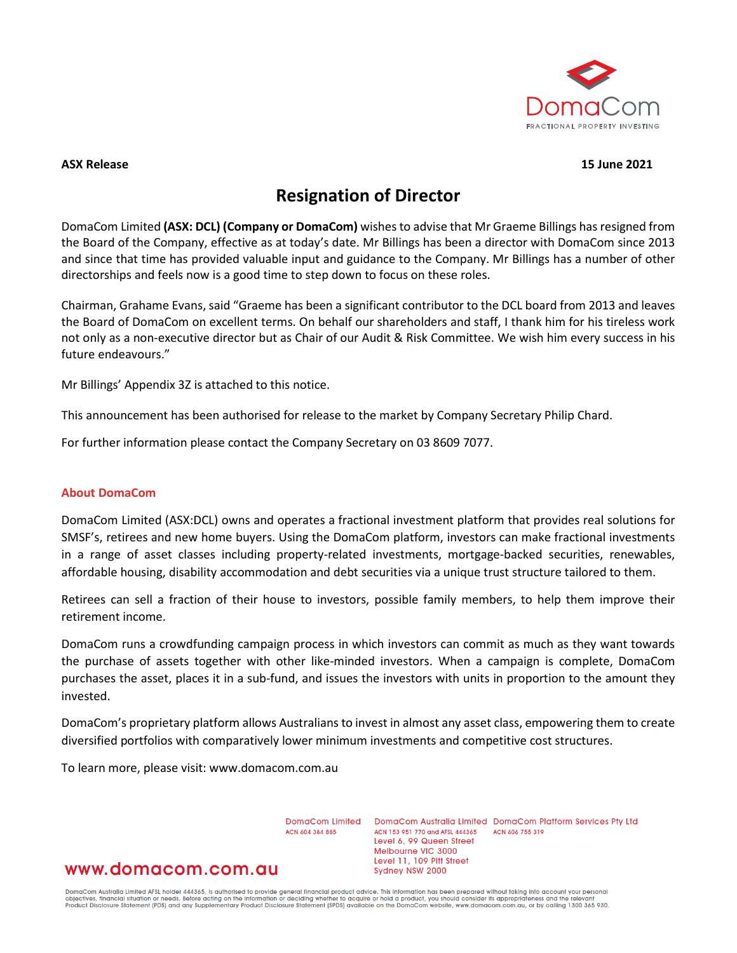

### **ASX Release 15 June 2021**

### **Resignation of Director**

DomaCom Limited **(ASX: DCL) (Company or DomaCom)** wishes to advise that Mr Graeme Billings has resigned from the Board of the Company, effective as at today's date. Mr Billings has been a director with DomaCom since 2013 and since that time has provided valuable input and guidance to the Company. Mr Billings has a number of other directorships and feels now is a good time to step down to focus on these roles.

Chairman, Grahame Evans, said "Graeme has been a significant contributor to the DCL board from 2013 and leaves the Board of DomaCom on excellent terms. On behalf our shareholders and staff, I thank him for his tireless work not only as a non-executive director but as Chair of our Audit & Risk Committee. We wish him every success in his future endeavours."

Mr Billings' Appendix 3Z is attached to this notice.

This announcement has been authorised for release to the market by Company Secretary Philip Chard.

For further information please contact the Company Secretary on 03 8609 7077.

### **About DomaCom**

DomaCom Limited (ASX:DCL) owns and operates a fractional investment platform that provides real solutions for SMSF's, retirees and new home buyers. Using the DomaCom platform, investors can make fractional investments in a range of asset classes including property-related investments, mortgage-backed securities, renewables, affordable housing, disability accommodation and debt securities via a unique trust structure tailored to them.

Retirees can sell a fraction of their house to investors, possible family members, to help them improve their retirement income.

DomaCom runs a crowdfunding campaign process in which investors can commit as much as they want towards the purchase of assets together with other like-minded investors. When a campaign is complete, DomaCom purchases the asset, places it in a sub-fund, and issues the investors with units in proportion to the amount they invested.

DomaCom's proprietary platform allows Australians to invest in almost any asset class, empowering them to create diversified portfolios with comparatively lower minimum investments and competitive cost structures.

To learn more, please visit: www.domacom.com.au

DomaCom Limited ACN 604 384 885

DomaCom Australia Limited DomaCom Platform Services Pty Ltd ACN 153 951 770 and AFSL 444365 ACN 606 755 319 Level 6, 99 Queen Street Melbourne VIC 3000 Level 11, 109 Pitt Street Sydney NSW 2000

### www.domacom.com.au

DomaCom Australia Limited AFSL holder 444365, is authorised to provide general financial product advice. This information has been prepared without taking into account your personal<br>objectives, financial situation or needs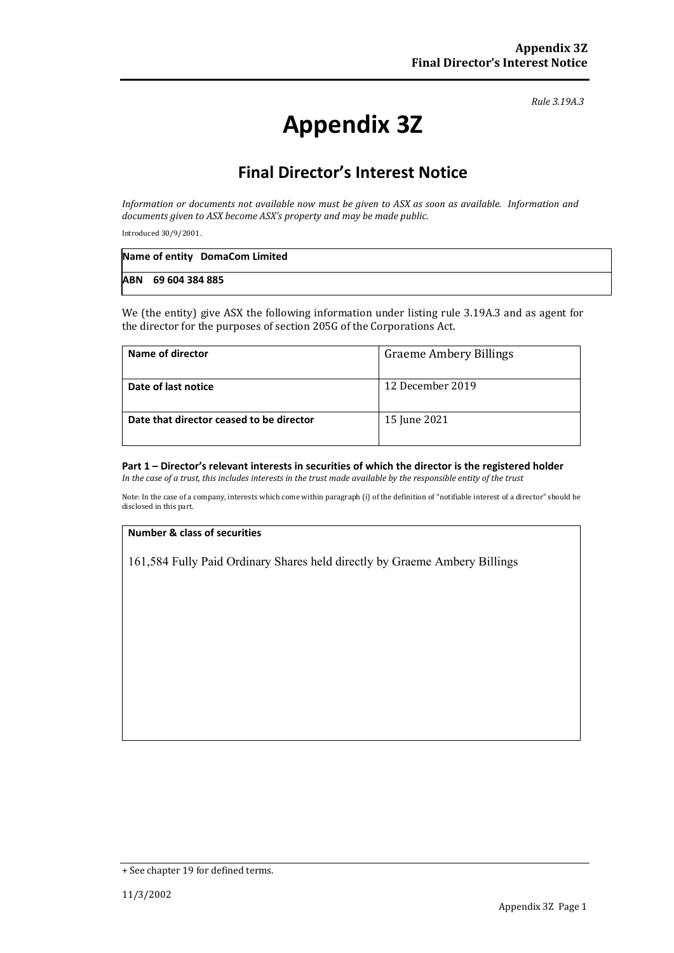*Rule 3.19A.3*

# **Appendix 3Z**

## **Final Director's Interest Notice**

*Information or documents not available now must be given to ASX as soon as available. Information and documents given to ASX become ASX's property and may be made public.*

Introduced 30/9/2001.

| Name of entity DomaCom Limited |
|--------------------------------|
| ABN 69 604 384 885             |

We (the entity) give ASX the following information under listing rule 3.19A.3 and as agent for the director for the purposes of section 205G of the Corporations Act.

| Name of director                         | <b>Graeme Ambery Billings</b> |
|------------------------------------------|-------------------------------|
| Date of last notice                      | 12 December 2019              |
| Date that director ceased to be director | 15 June 2021                  |

#### **Part 1 – Director's relevant interests in securities of which the director is the registered holder** *In the case of a trust, this includes interests in the trust made available by the responsible entity of the trust*

Note: In the case of a company, interests which come within paragraph (i) of the definition of "notifiable interest of a director" should be disclosed in this part.

### **Number & class of securities**

161,584 Fully Paid Ordinary Shares held directly by Graeme Ambery Billings

<sup>+</sup> See chapter 19 for defined terms.